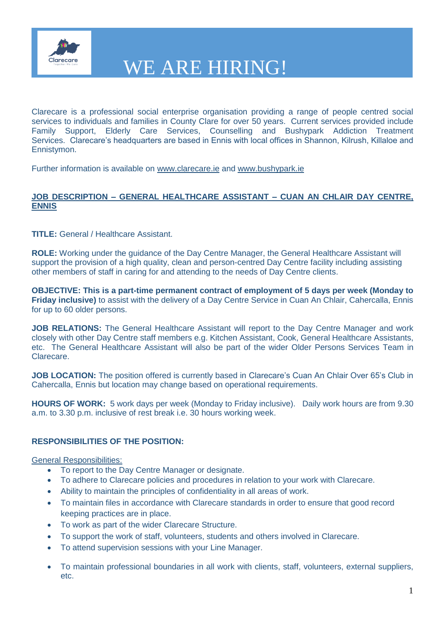

Clarecare is a professional social enterprise organisation providing a range of people centred social services to individuals and families in County Clare for over 50 years. Current services provided include Family Support, Elderly Care Services, Counselling and Bushypark Addiction Treatment Services. Clarecare's headquarters are based in Ennis with local offices in Shannon, Kilrush, Killaloe and Ennistymon.

Further information is available on [www.clarecare.ie](http://www.clarecare.ie/) and [www.bushypark.ie](http://www.bushypark.ie/)

### **JOB DESCRIPTION – GENERAL HEALTHCARE ASSISTANT – CUAN AN CHLAIR DAY CENTRE, ENNIS**

**TITLE:** General / Healthcare Assistant.

**ROLE:** Working under the guidance of the Day Centre Manager, the General Healthcare Assistant will support the provision of a high quality, clean and person-centred Day Centre facility including assisting other members of staff in caring for and attending to the needs of Day Centre clients.

**OBJECTIVE: This is a part-time permanent contract of employment of 5 days per week (Monday to Friday inclusive)** to assist with the delivery of a Day Centre Service in Cuan An Chlair, Cahercalla, Ennis for up to 60 older persons.

**JOB RELATIONS:** The General Healthcare Assistant will report to the Day Centre Manager and work closely with other Day Centre staff members e.g. Kitchen Assistant, Cook, General Healthcare Assistants, etc. The General Healthcare Assistant will also be part of the wider Older Persons Services Team in Clarecare.

**JOB LOCATION:** The position offered is currently based in Clarecare's Cuan An Chlair Over 65's Club in Cahercalla, Ennis but location may change based on operational requirements.

**HOURS OF WORK:** 5 work days per week (Monday to Friday inclusive). Daily work hours are from 9.30 a.m. to 3.30 p.m. inclusive of rest break i.e. 30 hours working week.

### **RESPONSIBILITIES OF THE POSITION:**

#### General Responsibilities:

- To report to the Day Centre Manager or designate.
- To adhere to Clarecare policies and procedures in relation to your work with Clarecare.
- Ability to maintain the principles of confidentiality in all areas of work.
- To maintain files in accordance with Clarecare standards in order to ensure that good record keeping practices are in place.
- To work as part of the wider Clarecare Structure.
- To support the work of staff, volunteers, students and others involved in Clarecare.
- To attend supervision sessions with your Line Manager.
- To maintain professional boundaries in all work with clients, staff, volunteers, external suppliers, etc.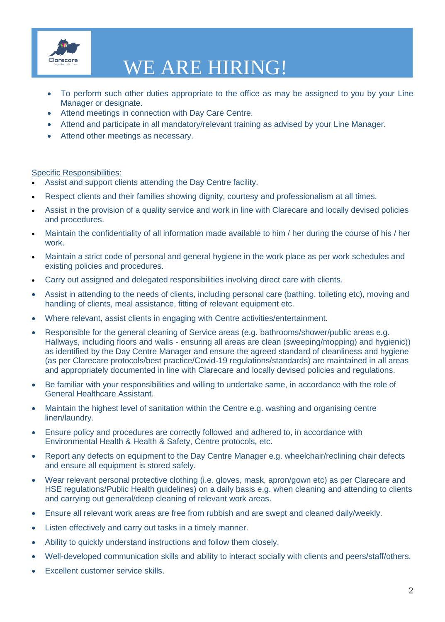

## WE ARE HIRING!

- To perform such other duties appropriate to the office as may be assigned to you by your Line Manager or designate.
- Attend meetings in connection with Day Care Centre.
- Attend and participate in all mandatory/relevant training as advised by your Line Manager.
- Attend other meetings as necessary.

#### Specific Responsibilities:

- Assist and support clients attending the Day Centre facility.
- Respect clients and their families showing dignity, courtesy and professionalism at all times.
- Assist in the provision of a quality service and work in line with Clarecare and locally devised policies and procedures.
- Maintain the confidentiality of all information made available to him / her during the course of his / her work.
- Maintain a strict code of personal and general hygiene in the work place as per work schedules and existing policies and procedures.
- Carry out assigned and delegated responsibilities involving direct care with clients.
- Assist in attending to the needs of clients, including personal care (bathing, toileting etc), moving and handling of clients, meal assistance, fitting of relevant equipment etc.
- Where relevant, assist clients in engaging with Centre activities/entertainment.
- Responsible for the general cleaning of Service areas (e.g. bathrooms/shower/public areas e.g. Hallways, including floors and walls - ensuring all areas are clean (sweeping/mopping) and hygienic)) as identified by the Day Centre Manager and ensure the agreed standard of cleanliness and hygiene (as per Clarecare protocols/best practice/Covid-19 regulations/standards) are maintained in all areas and appropriately documented in line with Clarecare and locally devised policies and regulations.
- Be familiar with your responsibilities and willing to undertake same, in accordance with the role of General Healthcare Assistant.
- Maintain the highest level of sanitation within the Centre e.g. washing and organising centre linen/laundry.
- Ensure policy and procedures are correctly followed and adhered to, in accordance with Environmental Health & Health & Safety, Centre protocols, etc.
- Report any defects on equipment to the Day Centre Manager e.g. wheelchair/reclining chair defects and ensure all equipment is stored safely.
- Wear relevant personal protective clothing (i.e. gloves, mask, apron/gown etc) as per Clarecare and HSE regulations/Public Health guidelines) on a daily basis e.g. when cleaning and attending to clients and carrying out general/deep cleaning of relevant work areas.
- Ensure all relevant work areas are free from rubbish and are swept and cleaned daily/weekly.
- Listen effectively and carry out tasks in a timely manner.
- Ability to quickly understand instructions and follow them closely.
- Well-developed communication skills and ability to interact socially with clients and peers/staff/others.
- Excellent customer service skills.